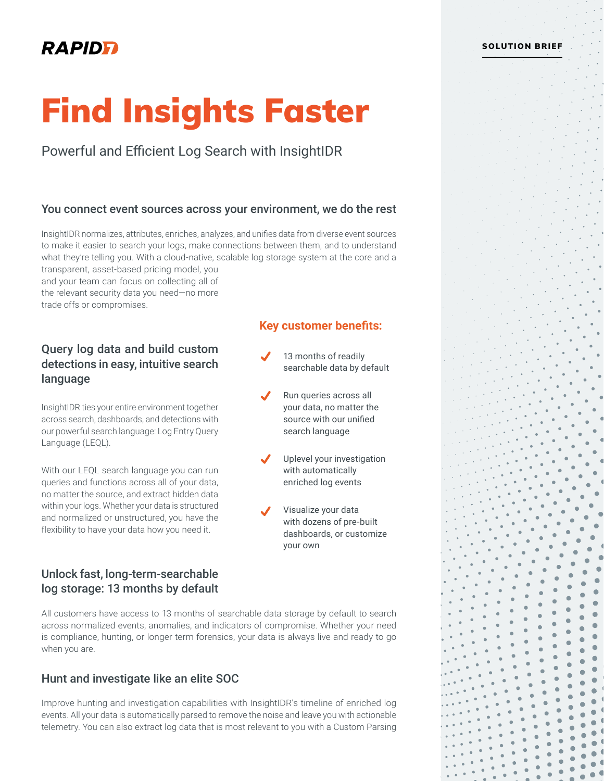# **RAPIDE**

# Find Insights Faster

Powerful and Efficient Log Search with InsightIDR

### You connect event sources across your environment, we do the rest

InsightIDR normalizes, attributes, enriches, analyzes, and unifies data from diverse event sources to make it easier to search your logs, make connections between them, and to understand what they're telling you. With a cloud-native, scalable log storage system at the core and a transparent, asset-based pricing model, you

**Key customer benefits:**

13 months of readily searchable data by default

Run queries across all your data, no matter the source with our unified search language

Uplevel your investigation with automatically enriched log events

Visualize your data with dozens of pre-built dashboards, or customize

your own

and your team can focus on collecting all of the relevant security data you need—no more trade offs or compromises.

# Query log data and build custom detections in easy, intuitive search language

InsightIDR ties your entire environment together across search, dashboards, and detections with our powerful search language: Log Entry Query Language (LEQL).

With our LEQL search language you can run queries and functions across all of your data, no matter the source, and extract hidden data within your logs. Whether your data is structured and normalized or unstructured, you have the flexibility to have your data how you need it.

# Unlock fast, long-term-searchable log storage: 13 months by default

All customers have access to 13 months of searchable data storage by default to search across normalized events, anomalies, and indicators of compromise. Whether your need is compliance, hunting, or longer term forensics, your data is always live and ready to go when you are.

# Hunt and investigate like an elite SOC

Improve hunting and investigation capabilities with InsightIDR's timeline of enriched log events. All your data is automatically parsed to remove the noise and leave you with actionable telemetry. You can also extract log data that is most relevant to you with a Custom Parsing

#### SOLUTION BRIEF